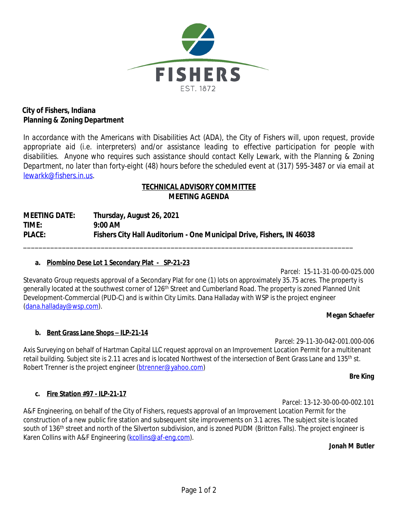

## **City of Fishers, Indiana Planning & Zoning Department**

In accordance with the Americans with Disabilities Act (ADA), the City of Fishers will, upon request, provide *appropriate aid (i.e. interpreters) and/or assistance leading to effective participation for people with disabilities. Anyone who requires such assistance should contact Kelly Lewark, with the Planning & Zoning* Department, no later than forty-eight (48) hours before the scheduled event at (317) 595-3487 or via email at *[lewarkk@fishers.in.us.](mailto:domsicd@fishers.in.us)*

# **[TECHNICAL ADVISORY COMMITTEE](mailto:domsicd@fishers.in.us) [MEETING AGENDA](mailto:domsicd@fishers.in.us)**

**[MEETING DATE:](mailto:domsicd@fishers.in.us) [Thursday, August 26, 2021](mailto:domsicd@fishers.in.us) [TIME:](mailto:domsicd@fishers.in.us) [9:00 AM](mailto:domsicd@fishers.in.us) [PLACE:](mailto:domsicd@fishers.in.us) [Fishers City Hall Auditorium - One Municipal Drive, Fishers, IN 46038](mailto:domsicd@fishers.in.us)**

### **a. [Piombino Dese Lot 1 Secondary Plat - SP-21-23](mailto:domsicd@fishers.in.us)**

*[Parcel: 15-11-31-00-00-025.000](mailto:domsicd@fishers.in.us)* [Stevanato Group requests approval of a Secondary Plat for one \(1\) lots on approximately 35.75 acres. The property is](mailto:domsicd@fishers.in.us)  [generally located at the southwest corner of 126](mailto:domsicd@fishers.in.us)<sup>[th](mailto:domsicd@fishers.in.us)</sup> Street and Cumberland Road. The property is zoned Planned Unit [Development-Commercial \(PUD-C\) and is within City Limits. Dana Halladay with WSP is the project engineer](mailto:domsicd@fishers.in.us)  [\(](mailto:domsicd@fishers.in.us)[dana.halladay@wsp.com](mailto:dana.halladay@wsp.com)).

[\\_\\_\\_\\_\\_\\_\\_\\_\\_\\_\\_\\_\\_\\_\\_\\_\\_\\_\\_\\_\\_\\_\\_\\_\\_\\_\\_\\_\\_\\_\\_\\_\\_\\_\\_\\_\\_\\_\\_\\_\\_\\_\\_\\_\\_\\_\\_\\_\\_\\_\\_\\_\\_\\_\\_\\_\\_\\_\\_\\_\\_\\_\\_\\_\\_\\_\\_\\_\\_\\_\\_\\_\\_\\_\\_\\_\\_\\_\\_\\_\\_\\_\\_\\_\\_](mailto:domsicd@fishers.in.us)

#### **Megan Schaefer**

### **b. Bent Grass Lane Shops – ILP-21-14**

*Parcel: 29-11-30-042-001.000-006* Axis Surveying on behalf of Hartman Capital LLC request approval on an Improvement Location Permit for a multitenant retail building. Subject site is 2.11 acres and is located Northwest of the intersection of Bent Grass Lane and 135<sup>th</sup> st. Robert Trenner is the project engineer [\(btrenner@yahoo.com\)](mailto:btrenner@yahoo.com)

*Bre King*

### **c. Fire Station #97 - ILP-21-17**

A&F Engineering, on behalf of the City of Fishers, requests approval of an Improvement Location Permit for the construction of a new public fire station and subsequent site improvements on 3.1 acres. The subject site is located south of 136<sup>th</sup> street and north of the Silverton subdivision, and is zoned PUDM (Britton Falls). The project engineer is Karen Collins with A&F Engineering ([kcollins@af-eng.com](mailto:kcollins@af-eng.com)).

#### **Jonah M Butler**

*Parcel: 13-12-30-00-00-002.101*